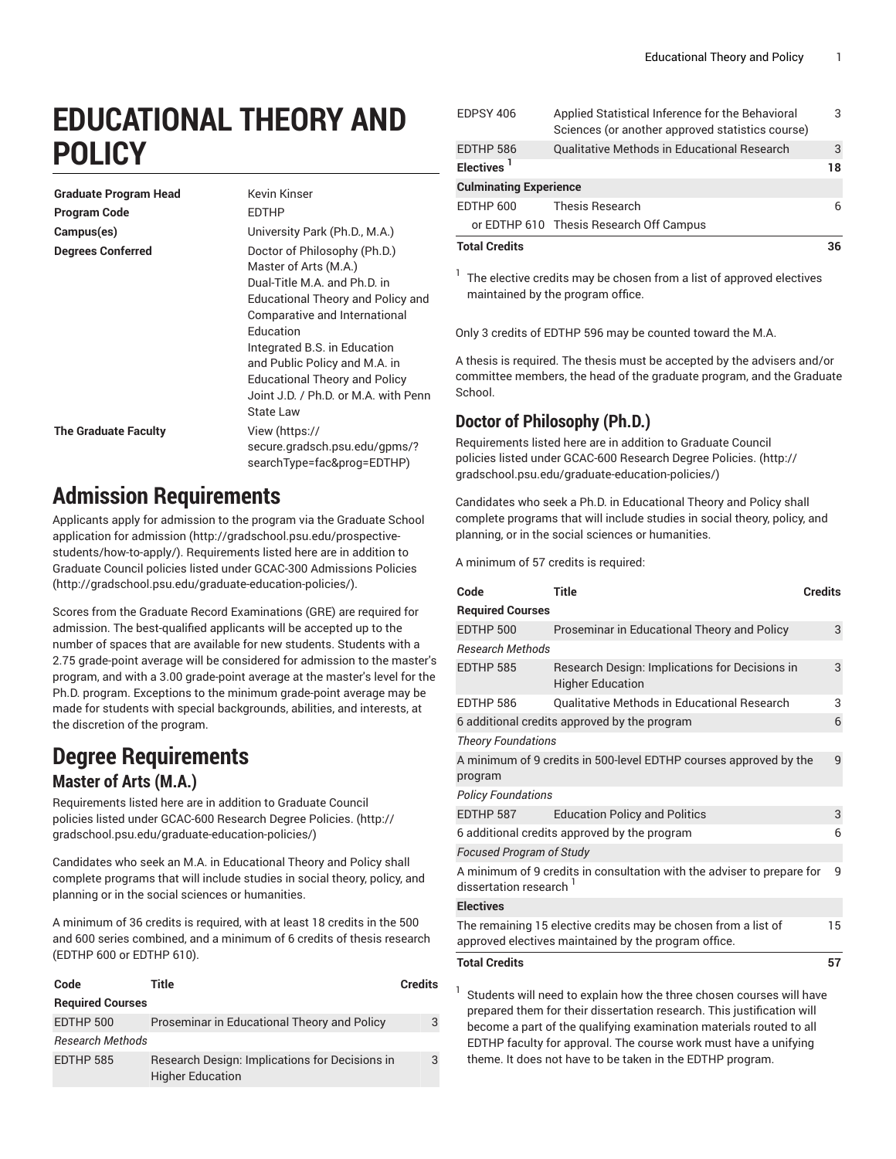# **EDUCATIONAL THEORY AND POLICY**

| <b>Graduate Program Head</b> | Kevin Kinser                                                                                                                                                                                                                                                                                                                           |
|------------------------------|----------------------------------------------------------------------------------------------------------------------------------------------------------------------------------------------------------------------------------------------------------------------------------------------------------------------------------------|
| <b>Program Code</b>          | <b>EDTHP</b>                                                                                                                                                                                                                                                                                                                           |
| Campus(es)                   | University Park (Ph.D., M.A.)                                                                                                                                                                                                                                                                                                          |
| <b>Degrees Conferred</b>     | Doctor of Philosophy (Ph.D.)<br>Master of Arts (M.A.)<br>Dual-Title M.A. and Ph.D. in<br>Educational Theory and Policy and<br>Comparative and International<br>Education<br>Integrated B.S. in Education<br>and Public Policy and M.A. in<br><b>Educational Theory and Policy</b><br>Joint J.D. / Ph.D. or M.A. with Penn<br>State Law |
| <b>The Graduate Faculty</b>  | View (https://<br>secure.gradsch.psu.edu/gpms/?<br>searchType=fac&prog=EDTHP)                                                                                                                                                                                                                                                          |

## **Admission Requirements**

Applicants apply for admission to the program via the [Graduate School](http://gradschool.psu.edu/prospective-students/how-to-apply/) [application for admission](http://gradschool.psu.edu/prospective-students/how-to-apply/) [\(http://gradschool.psu.edu/prospective](http://gradschool.psu.edu/prospective-students/how-to-apply/)[students/how-to-apply/\)](http://gradschool.psu.edu/prospective-students/how-to-apply/). Requirements listed here are in addition to Graduate Council policies listed under GCAC-300 [Admissions](http://gradschool.psu.edu/graduate-education-policies/) Policies ([http://gradschool.psu.edu/graduate-education-policies/\)](http://gradschool.psu.edu/graduate-education-policies/).

Scores from the Graduate Record Examinations (GRE) are required for admission. The best-qualified applicants will be accepted up to the number of spaces that are available for new students. Students with a 2.75 grade-point average will be considered for admission to the master's program, and with a 3.00 grade-point average at the master's level for the Ph.D. program. Exceptions to the minimum grade-point average may be made for students with special backgrounds, abilities, and interests, at the discretion of the program.

### **Degree Requirements Master of Arts (M.A.)**

Requirements listed here are in addition to Graduate Council policies listed under [GCAC-600](http://gradschool.psu.edu/graduate-education-policies/) Research Degree Policies. [\(http://](http://gradschool.psu.edu/graduate-education-policies/) [gradschool.psu.edu/graduate-education-policies/\)](http://gradschool.psu.edu/graduate-education-policies/)

Candidates who seek an M.A. in Educational Theory and Policy shall complete programs that will include studies in social theory, policy, and planning or in the social sciences or humanities.

A minimum of 36 credits is required, with at least 18 credits in the 500 and 600 series combined, and a minimum of 6 credits of thesis research (EDTHP 600 or EDTHP 610).

| Code                    | Title                                                                     | Credits |
|-------------------------|---------------------------------------------------------------------------|---------|
| <b>Required Courses</b> |                                                                           |         |
| EDTHP 500               | Proseminar in Educational Theory and Policy                               | 3       |
| <b>Research Methods</b> |                                                                           |         |
| EDTHP 585               | Research Design: Implications for Decisions in<br><b>Higher Education</b> | 3       |

| <b>Total Credits</b>          |                                                                                                      |    |
|-------------------------------|------------------------------------------------------------------------------------------------------|----|
|                               | or EDTHP 610 Thesis Research Off Campus                                                              |    |
| EDTHP 600                     | Thesis Research                                                                                      | 6  |
| <b>Culminating Experience</b> |                                                                                                      |    |
| Electives <sup>1</sup>        |                                                                                                      | 18 |
| EDTHP 586                     | Qualitative Methods in Educational Research                                                          | 3  |
| EDPSY 406                     | Applied Statistical Inference for the Behavioral<br>Sciences (or another approved statistics course) | 3  |

 $1$  The elective credits may be chosen from a list of approved electives maintained by the program office.

Only 3 credits of EDTHP 596 may be counted toward the M.A.

A thesis is required. The thesis must be accepted by the advisers and/or committee members, the head of the graduate program, and the Graduate School.

### **Doctor of Philosophy (Ph.D.)**

Requirements listed here are in addition to Graduate Council policies listed under [GCAC-600](http://gradschool.psu.edu/graduate-education-policies/) Research Degree Policies. ([http://](http://gradschool.psu.edu/graduate-education-policies/) [gradschool.psu.edu/graduate-education-policies/](http://gradschool.psu.edu/graduate-education-policies/))

Candidates who seek a Ph.D. in Educational Theory and Policy shall complete programs that will include studies in social theory, policy, and planning, or in the social sciences or humanities.

A minimum of 57 credits is required:

| Code                                                                                            | <b>Title</b>                                                                                                           | <b>Credits</b> |
|-------------------------------------------------------------------------------------------------|------------------------------------------------------------------------------------------------------------------------|----------------|
| <b>Required Courses</b>                                                                         |                                                                                                                        |                |
| EDTHP 500                                                                                       | Proseminar in Educational Theory and Policy                                                                            | 3              |
| <b>Research Methods</b>                                                                         |                                                                                                                        |                |
| EDTHP 585                                                                                       | Research Design: Implications for Decisions in<br><b>Higher Education</b>                                              | 3              |
| EDTHP 586                                                                                       | <b>Oualitative Methods in Educational Research</b>                                                                     | 3              |
|                                                                                                 | 6 additional credits approved by the program                                                                           | 6              |
| <b>Theory Foundations</b>                                                                       |                                                                                                                        |                |
|                                                                                                 | A minimum of 9 credits in 500-level EDTHP courses approved by the                                                      | 9              |
| program                                                                                         |                                                                                                                        |                |
| <b>Policy Foundations</b>                                                                       |                                                                                                                        |                |
| EDTHP 587                                                                                       | <b>Education Policy and Politics</b>                                                                                   | 3              |
|                                                                                                 | 6 additional credits approved by the program                                                                           | 6              |
| <b>Focused Program of Study</b>                                                                 |                                                                                                                        |                |
| A minimum of 9 credits in consultation with the adviser to prepare for<br>dissertation research |                                                                                                                        | 9              |
| <b>Electives</b>                                                                                |                                                                                                                        |                |
|                                                                                                 | The remaining 15 elective credits may be chosen from a list of<br>approved electives maintained by the program office. | 15             |
| <b>Total Credits</b>                                                                            |                                                                                                                        | 57             |
|                                                                                                 | Ctudente will need to evalors how the three choose courses will hove                                                   |                |

Students will need to explain how the three chosen courses will have prepared them for their dissertation research. This justification will become a part of the qualifying examination materials routed to all EDTHP faculty for approval. The course work must have a unifying theme. It does not have to be taken in the EDTHP program.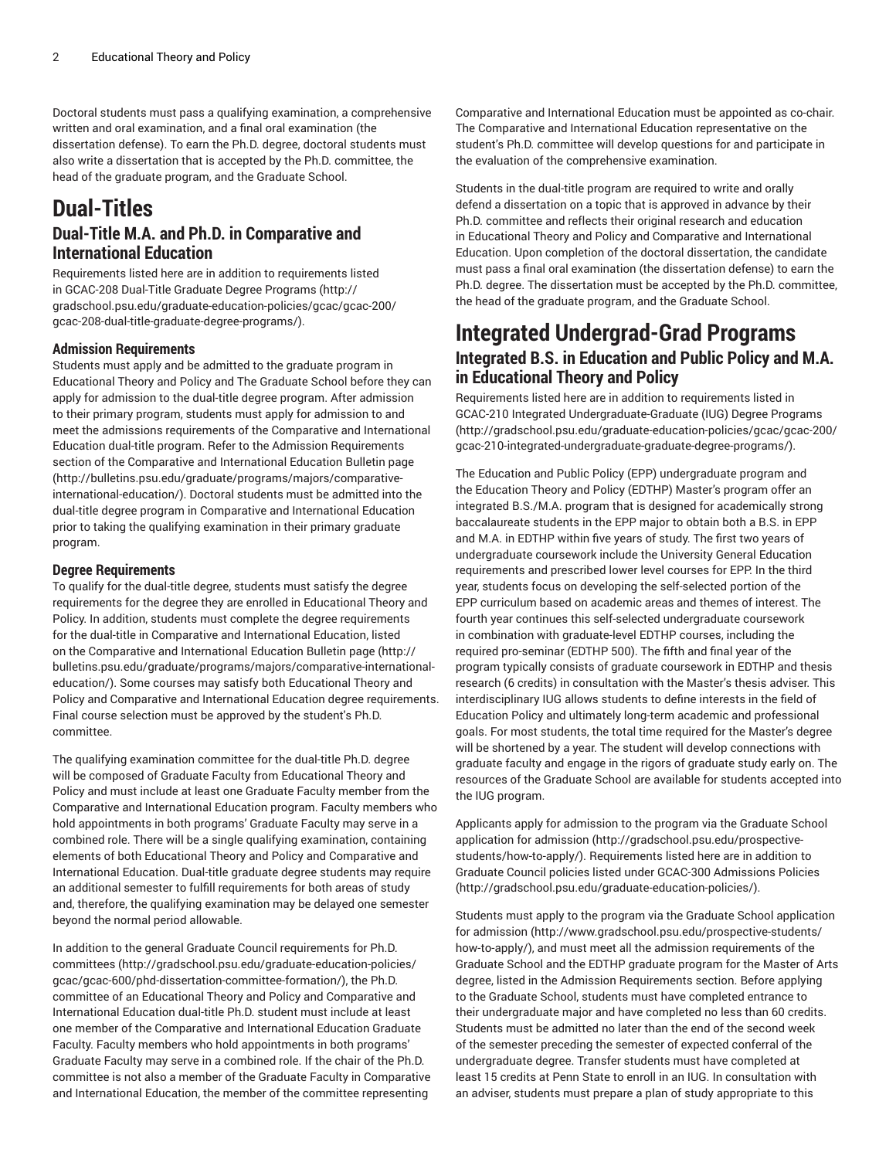Doctoral students must pass a qualifying examination, a comprehensive written and oral examination, and a final oral examination (the dissertation defense). To earn the Ph.D. degree, doctoral students must also write a dissertation that is accepted by the Ph.D. committee, the head of the graduate program, and the Graduate School.

## **Dual-Titles**

#### **Dual-Title M.A. and Ph.D. in Comparative and International Education**

Requirements listed here are in addition to requirements listed in [GCAC-208](http://gradschool.psu.edu/graduate-education-policies/gcac/gcac-200/gcac-208-dual-title-graduate-degree-programs/) Dual-Title Graduate Degree Programs ([http://](http://gradschool.psu.edu/graduate-education-policies/gcac/gcac-200/gcac-208-dual-title-graduate-degree-programs/) [gradschool.psu.edu/graduate-education-policies/gcac/gcac-200/](http://gradschool.psu.edu/graduate-education-policies/gcac/gcac-200/gcac-208-dual-title-graduate-degree-programs/) [gcac-208-dual-title-graduate-degree-programs/\)](http://gradschool.psu.edu/graduate-education-policies/gcac/gcac-200/gcac-208-dual-title-graduate-degree-programs/).

#### **Admission Requirements**

Students must apply and be admitted to the graduate program in Educational Theory and Policy and The Graduate School before they can apply for admission to the dual-title degree program. After admission to their primary program, students must apply for admission to and meet the admissions requirements of the Comparative and International Education dual-title program. Refer to the Admission Requirements section of the [Comparative](http://bulletins.psu.edu/graduate/programs/majors/comparative-international-education/) and International Education Bulletin page ([http://bulletins.psu.edu/graduate/programs/majors/comparative](http://bulletins.psu.edu/graduate/programs/majors/comparative-international-education/)[international-education/\)](http://bulletins.psu.edu/graduate/programs/majors/comparative-international-education/). Doctoral students must be admitted into the dual-title degree program in Comparative and International Education prior to taking the qualifying examination in their primary graduate program.

#### **Degree Requirements**

To qualify for the dual-title degree, students must satisfy the degree requirements for the degree they are enrolled in Educational Theory and Policy. In addition, students must complete the degree requirements for the dual-title in Comparative and International Education, listed on the Comparative and [International](http://bulletins.psu.edu/graduate/programs/majors/comparative-international-education/) Education Bulletin page [\(http://](http://bulletins.psu.edu/graduate/programs/majors/comparative-international-education/) [bulletins.psu.edu/graduate/programs/majors/comparative-international](http://bulletins.psu.edu/graduate/programs/majors/comparative-international-education/)[education/](http://bulletins.psu.edu/graduate/programs/majors/comparative-international-education/)). Some courses may satisfy both Educational Theory and Policy and Comparative and International Education degree requirements. Final course selection must be approved by the student's Ph.D. committee.

The qualifying examination committee for the dual-title Ph.D. degree will be composed of Graduate Faculty from Educational Theory and Policy and must include at least one Graduate Faculty member from the Comparative and International Education program. Faculty members who hold appointments in both programs' Graduate Faculty may serve in a combined role. There will be a single qualifying examination, containing elements of both Educational Theory and Policy and Comparative and International Education. Dual-title graduate degree students may require an additional semester to fulfill requirements for both areas of study and, therefore, the qualifying examination may be delayed one semester beyond the normal period allowable.

In addition to the general Graduate Council [requirements](http://gradschool.psu.edu/graduate-education-policies/gcac/gcac-600/phd-dissertation-committee-formation/) for Ph.D. [committees](http://gradschool.psu.edu/graduate-education-policies/gcac/gcac-600/phd-dissertation-committee-formation/) ([http://gradschool.psu.edu/graduate-education-policies/](http://gradschool.psu.edu/graduate-education-policies/gcac/gcac-600/phd-dissertation-committee-formation/) [gcac/gcac-600/phd-dissertation-committee-formation/\)](http://gradschool.psu.edu/graduate-education-policies/gcac/gcac-600/phd-dissertation-committee-formation/), the Ph.D. committee of an Educational Theory and Policy and Comparative and International Education dual-title Ph.D. student must include at least one member of the Comparative and International Education Graduate Faculty. Faculty members who hold appointments in both programs' Graduate Faculty may serve in a combined role. If the chair of the Ph.D. committee is not also a member of the Graduate Faculty in Comparative and International Education, the member of the committee representing

Comparative and International Education must be appointed as co-chair. The Comparative and International Education representative on the student's Ph.D. committee will develop questions for and participate in the evaluation of the comprehensive examination.

Students in the dual-title program are required to write and orally defend a dissertation on a topic that is approved in advance by their Ph.D. committee and reflects their original research and education in Educational Theory and Policy and Comparative and International Education. Upon completion of the doctoral dissertation, the candidate must pass a final oral examination (the dissertation defense) to earn the Ph.D. degree. The dissertation must be accepted by the Ph.D. committee, the head of the graduate program, and the Graduate School.

### **Integrated Undergrad-Grad Programs Integrated B.S. in Education and Public Policy and M.A. in Educational Theory and Policy**

Requirements listed here are in addition to requirements listed in GCAC-210 Integrated [Undergraduate-Graduate](http://gradschool.psu.edu/graduate-education-policies/gcac/gcac-200/gcac-210-integrated-undergraduate-graduate-degree-programs/) (IUG) Degree Programs [\(http://gradschool.psu.edu/graduate-education-policies/gcac/gcac-200/](http://gradschool.psu.edu/graduate-education-policies/gcac/gcac-200/gcac-210-integrated-undergraduate-graduate-degree-programs/) [gcac-210-integrated-undergraduate-graduate-degree-programs/](http://gradschool.psu.edu/graduate-education-policies/gcac/gcac-200/gcac-210-integrated-undergraduate-graduate-degree-programs/)).

The Education and Public Policy (EPP) undergraduate program and the Education Theory and Policy (EDTHP) Master's program offer an integrated B.S./M.A. program that is designed for academically strong baccalaureate students in the EPP major to obtain both a B.S. in EPP and M.A. in EDTHP within five years of study. The first two years of undergraduate coursework include the University General Education requirements and prescribed lower level courses for EPP. In the third year, students focus on developing the self-selected portion of the EPP curriculum based on academic areas and themes of interest. The fourth year continues this self-selected undergraduate coursework in combination with graduate-level EDTHP courses, including the required pro-seminar (EDTHP 500). The fifth and final year of the program typically consists of graduate coursework in EDTHP and thesis research (6 credits) in consultation with the Master's thesis adviser. This interdisciplinary IUG allows students to define interests in the field of Education Policy and ultimately long-term academic and professional goals. For most students, the total time required for the Master's degree will be shortened by a year. The student will develop connections with graduate faculty and engage in the rigors of graduate study early on. The resources of the Graduate School are available for students accepted into the IUG program.

Applicants apply for admission to the program via the [Graduate School](http://gradschool.psu.edu/prospective-students/how-to-apply/) [application for admission \(http://gradschool.psu.edu/prospective](http://gradschool.psu.edu/prospective-students/how-to-apply/)[students/how-to-apply/](http://gradschool.psu.edu/prospective-students/how-to-apply/)). Requirements listed here are in addition to Graduate Council policies listed under GCAC-300 [Admissions](http://gradschool.psu.edu/graduate-education-policies/) Policies [\(http://gradschool.psu.edu/graduate-education-policies/](http://gradschool.psu.edu/graduate-education-policies/)).

Students must apply to the program via the [Graduate School application](http://www.gradschool.psu.edu/prospective-students/how-to-apply/) [for admission \(http://www.gradschool.psu.edu/prospective-students/](http://www.gradschool.psu.edu/prospective-students/how-to-apply/) [how-to-apply/](http://www.gradschool.psu.edu/prospective-students/how-to-apply/)), and must meet all the admission requirements of the Graduate School and the EDTHP graduate program for the Master of Arts degree, listed in the Admission Requirements section. Before applying to the Graduate School, students must have completed entrance to their undergraduate major and have completed no less than 60 credits. Students must be admitted no later than the end of the second week of the semester preceding the semester of expected conferral of the undergraduate degree. Transfer students must have completed at least 15 credits at Penn State to enroll in an IUG. In consultation with an adviser, students must prepare a plan of study appropriate to this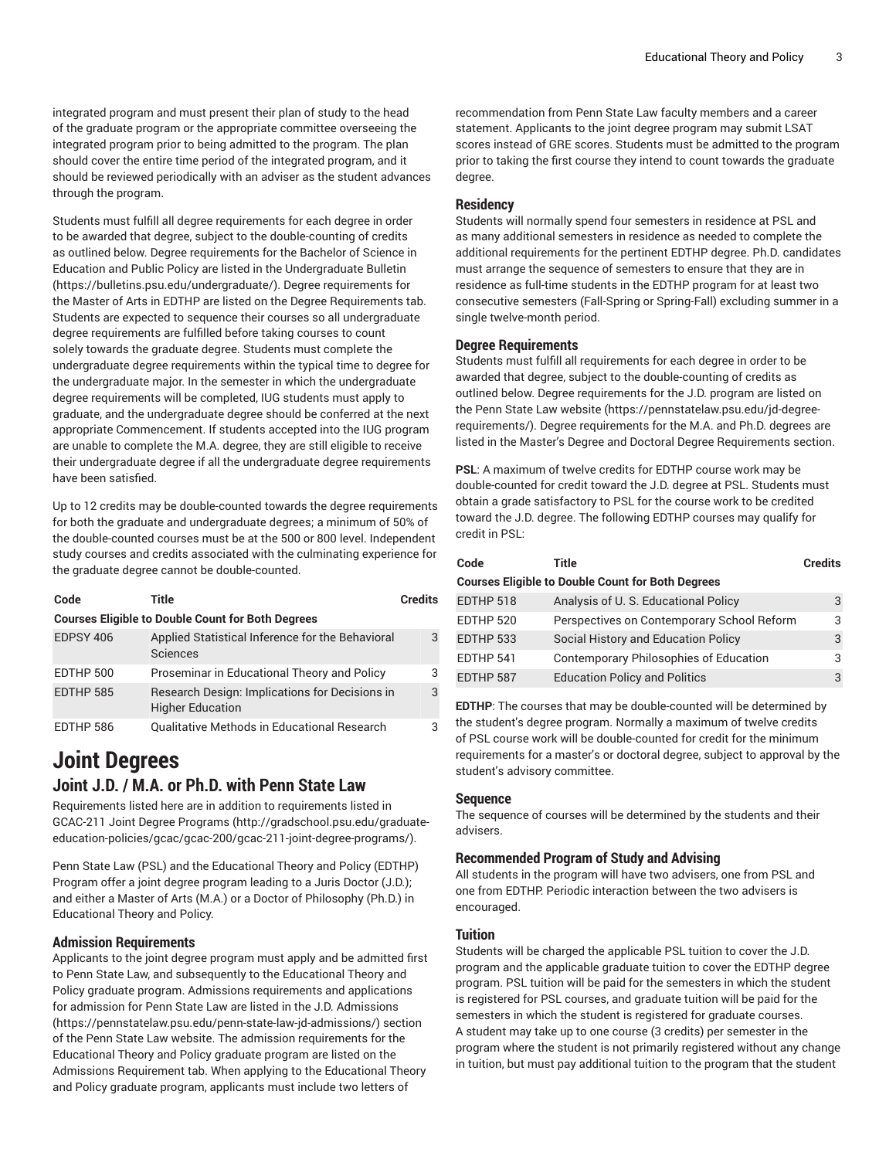integrated program and must present their plan of study to the head of the graduate program or the appropriate committee overseeing the integrated program prior to being admitted to the program. The plan should cover the entire time period of the integrated program, and it should be reviewed periodically with an adviser as the student advances through the program.

Students must fulfill all degree requirements for each degree in order to be awarded that degree, subject to the double-counting of credits as outlined below. Degree requirements for the Bachelor of Science in Education and Public Policy are listed in the [Undergraduate](https://bulletins.psu.edu/undergraduate/) Bulletin (<https://bulletins.psu.edu/undergraduate/>). Degree requirements for the Master of Arts in EDTHP are listed on the Degree Requirements tab. Students are expected to sequence their courses so all undergraduate degree requirements are fulfilled before taking courses to count solely towards the graduate degree. Students must complete the undergraduate degree requirements within the typical time to degree for the undergraduate major. In the semester in which the undergraduate degree requirements will be completed, IUG students must apply to graduate, and the undergraduate degree should be conferred at the next appropriate Commencement. If students accepted into the IUG program are unable to complete the M.A. degree, they are still eligible to receive their undergraduate degree if all the undergraduate degree requirements have been satisfied.

Up to 12 credits may be double-counted towards the degree requirements for both the graduate and undergraduate degrees; a minimum of 50% of the double-counted courses must be at the 500 or 800 level. Independent study courses and credits associated with the culminating experience for the graduate degree cannot be double-counted.

| Code      | Title                                                                     | <b>Credits</b> |
|-----------|---------------------------------------------------------------------------|----------------|
|           | <b>Courses Eligible to Double Count for Both Degrees</b>                  |                |
| EDPSY 406 | Applied Statistical Inference for the Behavioral<br>Sciences              | 3              |
| EDTHP 500 | Proseminar in Educational Theory and Policy                               | 3              |
| EDTHP 585 | Research Design: Implications for Decisions in<br><b>Higher Education</b> | 3              |
| EDTHP 586 | Qualitative Methods in Educational Research                               |                |

### **Joint Degrees Joint J.D. / M.A. or Ph.D. with Penn State Law**

Requirements listed here are in addition to requirements listed in [GCAC-211](http://gradschool.psu.edu/graduate-education-policies/gcac/gcac-200/gcac-211-joint-degree-programs/) Joint Degree Programs ([http://gradschool.psu.edu/graduate](http://gradschool.psu.edu/graduate-education-policies/gcac/gcac-200/gcac-211-joint-degree-programs/)[education-policies/gcac/gcac-200/gcac-211-joint-degree-programs/](http://gradschool.psu.edu/graduate-education-policies/gcac/gcac-200/gcac-211-joint-degree-programs/)).

Penn State Law (PSL) and the Educational Theory and Policy (EDTHP) Program offer a joint degree program leading to a Juris Doctor (J.D.); and either a Master of Arts (M.A.) or a Doctor of Philosophy (Ph.D.) in Educational Theory and Policy.

#### **Admission Requirements**

Applicants to the joint degree program must apply and be admitted first to Penn State Law, and subsequently to the Educational Theory and Policy graduate program. Admissions requirements and applications for admission for Penn State Law are listed in the J.D. [Admissions](https://pennstatelaw.psu.edu/penn-state-law-jd-admissions/) (<https://pennstatelaw.psu.edu/penn-state-law-jd-admissions/>) section of the Penn State Law website. The admission requirements for the Educational Theory and Policy graduate program are listed on the Admissions Requirement tab. When applying to the Educational Theory and Policy graduate program, applicants must include two letters of

recommendation from Penn State Law faculty members and a career statement. Applicants to the joint degree program may submit LSAT scores instead of GRE scores. Students must be admitted to the program prior to taking the first course they intend to count towards the graduate degree.

#### **Residency**

Students will normally spend four semesters in residence at PSL and as many additional semesters in residence as needed to complete the additional requirements for the pertinent EDTHP degree. Ph.D. candidates must arrange the sequence of semesters to ensure that they are in residence as full-time students in the EDTHP program for at least two consecutive semesters (Fall-Spring or Spring-Fall) excluding summer in a single twelve-month period.

#### **Degree Requirements**

Students must fulfill all requirements for each degree in order to be awarded that degree, subject to the double-counting of credits as outlined below. Degree requirements for the J.D. program are listed on the Penn State Law [website](https://pennstatelaw.psu.edu/jd-degree-requirements/) ([https://pennstatelaw.psu.edu/jd-degree](https://pennstatelaw.psu.edu/jd-degree-requirements/)[requirements/](https://pennstatelaw.psu.edu/jd-degree-requirements/)). Degree requirements for the M.A. and Ph.D. degrees are listed in the Master's Degree and Doctoral Degree Requirements section.

**PSL**: A maximum of twelve credits for EDTHP course work may be double-counted for credit toward the J.D. degree at PSL. Students must obtain a grade satisfactory to PSL for the course work to be credited toward the J.D. degree. The following EDTHP courses may qualify for credit in PSL:

| Code      | Title                                                    | <b>Credits</b> |
|-----------|----------------------------------------------------------|----------------|
|           | <b>Courses Eligible to Double Count for Both Degrees</b> |                |
| EDTHP 518 | Analysis of U.S. Educational Policy                      | 3              |
| EDTHP 520 | Perspectives on Contemporary School Reform               | 3              |
| EDTHP 533 | Social History and Education Policy                      | 3              |
| EDTHP 541 | <b>Contemporary Philosophies of Education</b>            | 3              |
| EDTHP 587 | <b>Education Policy and Politics</b>                     | 3              |

**EDTHP**: The courses that may be double-counted will be determined by the student's degree program. Normally a maximum of twelve credits of PSL course work will be double-counted for credit for the minimum requirements for a master's or doctoral degree, subject to approval by the student's advisory committee.

#### **Sequence**

The sequence of courses will be determined by the students and their advisers.

#### **Recommended Program of Study and Advising**

All students in the program will have two advisers, one from PSL and one from EDTHP. Periodic interaction between the two advisers is encouraged.

#### **Tuition**

Students will be charged the applicable PSL tuition to cover the J.D. program and the applicable graduate tuition to cover the EDTHP degree program. PSL tuition will be paid for the semesters in which the student is registered for PSL courses, and graduate tuition will be paid for the semesters in which the student is registered for graduate courses. A student may take up to one course (3 credits) per semester in the program where the student is not primarily registered without any change in tuition, but must pay additional tuition to the program that the student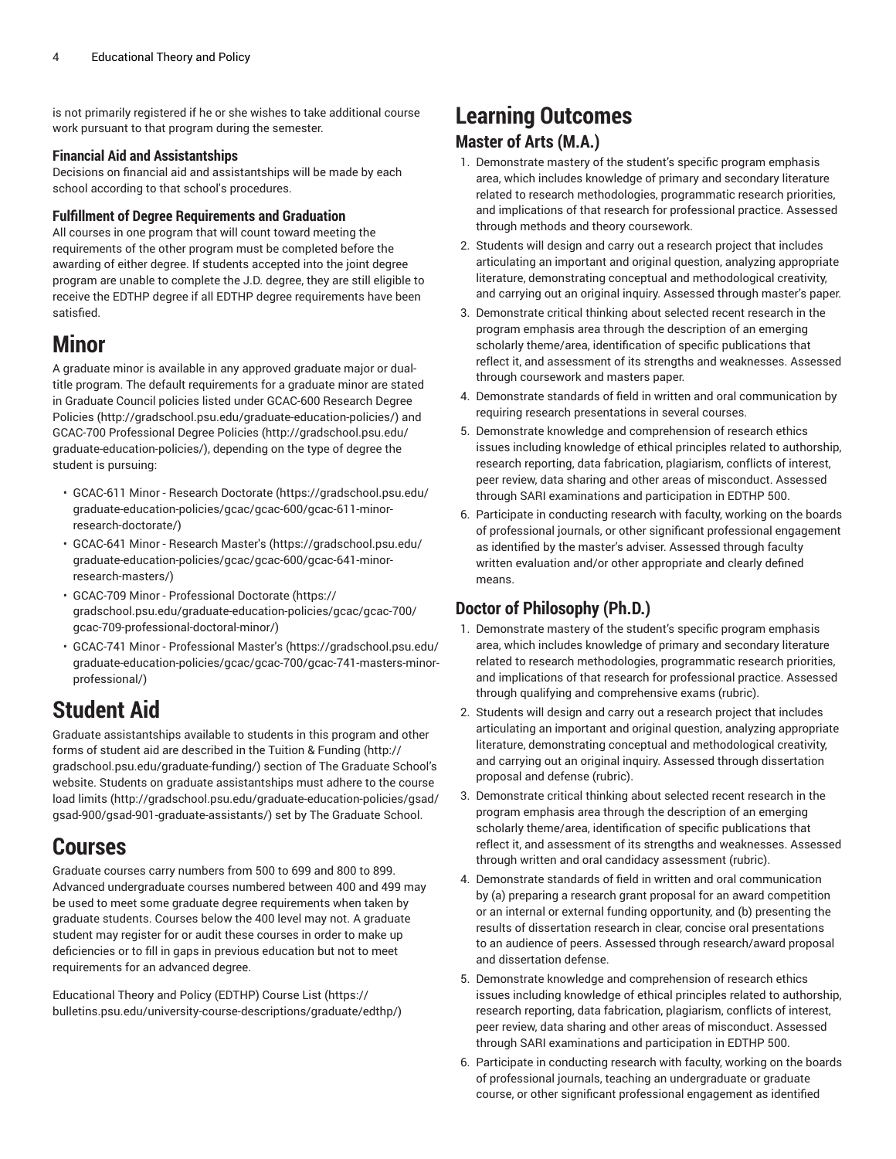is not primarily registered if he or she wishes to take additional course work pursuant to that program during the semester.

#### **Financial Aid and Assistantships**

Decisions on financial aid and assistantships will be made by each school according to that school's procedures.

#### **Fulfillment of Degree Requirements and Graduation**

All courses in one program that will count toward meeting the requirements of the other program must be completed before the awarding of either degree. If students accepted into the joint degree program are unable to complete the J.D. degree, they are still eligible to receive the EDTHP degree if all EDTHP degree requirements have been satisfied.

## **Minor**

A graduate minor is available in any approved graduate major or dualtitle program. The default requirements for a graduate minor are stated in Graduate Council policies listed under [GCAC-600](http://gradschool.psu.edu/graduate-education-policies/) Research Degree [Policies](http://gradschool.psu.edu/graduate-education-policies/) ([http://gradschool.psu.edu/graduate-education-policies/\)](http://gradschool.psu.edu/graduate-education-policies/) and GCAC-700 [Professional](http://gradschool.psu.edu/graduate-education-policies/) Degree Policies ([http://gradschool.psu.edu/](http://gradschool.psu.edu/graduate-education-policies/) [graduate-education-policies/](http://gradschool.psu.edu/graduate-education-policies/)), depending on the type of degree the student is pursuing:

- [GCAC-611](https://gradschool.psu.edu/graduate-education-policies/gcac/gcac-600/gcac-611-minor-research-doctorate/) Minor Research Doctorate [\(https://gradschool.psu.edu/](https://gradschool.psu.edu/graduate-education-policies/gcac/gcac-600/gcac-611-minor-research-doctorate/) [graduate-education-policies/gcac/gcac-600/gcac-611-minor](https://gradschool.psu.edu/graduate-education-policies/gcac/gcac-600/gcac-611-minor-research-doctorate/)[research-doctorate/](https://gradschool.psu.edu/graduate-education-policies/gcac/gcac-600/gcac-611-minor-research-doctorate/))
- [GCAC-641](https://gradschool.psu.edu/graduate-education-policies/gcac/gcac-600/gcac-641-minor-research-masters/) Minor Research Master's ([https://gradschool.psu.edu/](https://gradschool.psu.edu/graduate-education-policies/gcac/gcac-600/gcac-641-minor-research-masters/) [graduate-education-policies/gcac/gcac-600/gcac-641-minor](https://gradschool.psu.edu/graduate-education-policies/gcac/gcac-600/gcac-641-minor-research-masters/)[research-masters/](https://gradschool.psu.edu/graduate-education-policies/gcac/gcac-600/gcac-641-minor-research-masters/))
- GCAC-709 Minor [Professional](https://gradschool.psu.edu/graduate-education-policies/gcac/gcac-700/gcac-709-professional-doctoral-minor/) Doctorate ([https://](https://gradschool.psu.edu/graduate-education-policies/gcac/gcac-700/gcac-709-professional-doctoral-minor/) [gradschool.psu.edu/graduate-education-policies/gcac/gcac-700/](https://gradschool.psu.edu/graduate-education-policies/gcac/gcac-700/gcac-709-professional-doctoral-minor/) [gcac-709-professional-doctoral-minor/](https://gradschool.psu.edu/graduate-education-policies/gcac/gcac-700/gcac-709-professional-doctoral-minor/))
- GCAC-741 Minor [Professional](https://gradschool.psu.edu/graduate-education-policies/gcac/gcac-700/gcac-741-masters-minor-professional/) Master's [\(https://gradschool.psu.edu/](https://gradschool.psu.edu/graduate-education-policies/gcac/gcac-700/gcac-741-masters-minor-professional/) [graduate-education-policies/gcac/gcac-700/gcac-741-masters-minor](https://gradschool.psu.edu/graduate-education-policies/gcac/gcac-700/gcac-741-masters-minor-professional/)[professional/\)](https://gradschool.psu.edu/graduate-education-policies/gcac/gcac-700/gcac-741-masters-minor-professional/)

## **Student Aid**

Graduate assistantships available to students in this program and other forms of student aid are described in the Tuition & [Funding \(http://](http://gradschool.psu.edu/graduate-funding/) [gradschool.psu.edu/graduate-funding/\)](http://gradschool.psu.edu/graduate-funding/) section of The Graduate School's website. Students on graduate assistantships must adhere to the [course](http://gradschool.psu.edu/graduate-education-policies/gsad/gsad-900/gsad-901-graduate-assistants/) [load limits](http://gradschool.psu.edu/graduate-education-policies/gsad/gsad-900/gsad-901-graduate-assistants/) [\(http://gradschool.psu.edu/graduate-education-policies/gsad/](http://gradschool.psu.edu/graduate-education-policies/gsad/gsad-900/gsad-901-graduate-assistants/) [gsad-900/gsad-901-graduate-assistants/](http://gradschool.psu.edu/graduate-education-policies/gsad/gsad-900/gsad-901-graduate-assistants/)) set by The Graduate School.

## **Courses**

Graduate courses carry numbers from 500 to 699 and 800 to 899. Advanced undergraduate courses numbered between 400 and 499 may be used to meet some graduate degree requirements when taken by graduate students. Courses below the 400 level may not. A graduate student may register for or audit these courses in order to make up deficiencies or to fill in gaps in previous education but not to meet requirements for an advanced degree.

[Educational](https://bulletins.psu.edu/university-course-descriptions/graduate/edthp/) Theory and Policy (EDTHP) Course List ([https://](https://bulletins.psu.edu/university-course-descriptions/graduate/edthp/) [bulletins.psu.edu/university-course-descriptions/graduate/edthp/](https://bulletins.psu.edu/university-course-descriptions/graduate/edthp/))

## **Learning Outcomes Master of Arts (M.A.)**

- 1. Demonstrate mastery of the student's specific program emphasis area, which includes knowledge of primary and secondary literature related to research methodologies, programmatic research priorities, and implications of that research for professional practice. Assessed through methods and theory coursework.
- 2. Students will design and carry out a research project that includes articulating an important and original question, analyzing appropriate literature, demonstrating conceptual and methodological creativity, and carrying out an original inquiry. Assessed through master's paper.
- 3. Demonstrate critical thinking about selected recent research in the program emphasis area through the description of an emerging scholarly theme/area, identification of specific publications that reflect it, and assessment of its strengths and weaknesses. Assessed through coursework and masters paper.
- 4. Demonstrate standards of field in written and oral communication by requiring research presentations in several courses.
- 5. Demonstrate knowledge and comprehension of research ethics issues including knowledge of ethical principles related to authorship, research reporting, data fabrication, plagiarism, conflicts of interest, peer review, data sharing and other areas of misconduct. Assessed through SARI examinations and participation in EDTHP 500.
- 6. Participate in conducting research with faculty, working on the boards of professional journals, or other significant professional engagement as identified by the master's adviser. Assessed through faculty written evaluation and/or other appropriate and clearly defined means.

### **Doctor of Philosophy (Ph.D.)**

- 1. Demonstrate mastery of the student's specific program emphasis area, which includes knowledge of primary and secondary literature related to research methodologies, programmatic research priorities, and implications of that research for professional practice. Assessed through qualifying and comprehensive exams (rubric).
- 2. Students will design and carry out a research project that includes articulating an important and original question, analyzing appropriate literature, demonstrating conceptual and methodological creativity, and carrying out an original inquiry. Assessed through dissertation proposal and defense (rubric).
- 3. Demonstrate critical thinking about selected recent research in the program emphasis area through the description of an emerging scholarly theme/area, identification of specific publications that reflect it, and assessment of its strengths and weaknesses. Assessed through written and oral candidacy assessment (rubric).
- 4. Demonstrate standards of field in written and oral communication by (a) preparing a research grant proposal for an award competition or an internal or external funding opportunity, and (b) presenting the results of dissertation research in clear, concise oral presentations to an audience of peers. Assessed through research/award proposal and dissertation defense.
- 5. Demonstrate knowledge and comprehension of research ethics issues including knowledge of ethical principles related to authorship, research reporting, data fabrication, plagiarism, conflicts of interest, peer review, data sharing and other areas of misconduct. Assessed through SARI examinations and participation in EDTHP 500.
- 6. Participate in conducting research with faculty, working on the boards of professional journals, teaching an undergraduate or graduate course, or other significant professional engagement as identified